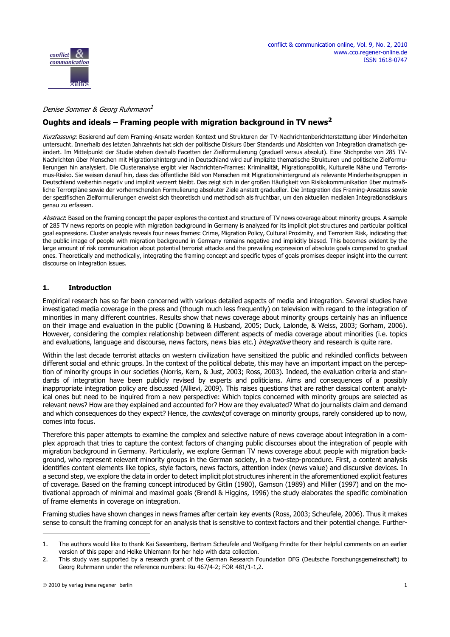

#### Denise Sommer & Georg Ruhrmann<sup>1</sup>

## **Oughts and ideals – Framing people with migration background in TV news<sup>2</sup>**

Kurzfassung: Basierend auf dem Framing-Ansatz werden Kontext und Strukturen der TV-Nachrichtenberichterstattung über Minderheiten untersucht. Innerhalb des letzten Jahrzehnts hat sich der politische Diskurs über Standards und Absichten von Integration dramatisch geändert. Im Mittelpunkt der Studie stehen deshalb Facetten der Zielformulierung (graduell versus absolut). Eine Stichprobe von 285 TV-Nachrichten über Menschen mit Migrationshintergrund in Deutschland wird auf implizite thematische Strukturen und politische Zielformulierungen hin analysiert. Die Clusteranalyse ergibt vier Nachrichten-Frames: Kriminalität, Migrationspolitik, Kulturelle Nähe und Terrorismus-Risiko. Sie weisen darauf hin, dass das öffentliche Bild von Menschen mit Migrationshintergrund als relevante Minderheitsgruppen in Deutschland weiterhin negativ und implizit verzerrt bleibt. Das zeigt sich in der großen Häufigkeit von Risikokommunikation über mutmaßliche Terrorpläne sowie der vorherrschenden Formulierung absoluter Ziele anstatt gradueller. Die Integration des Framing-Ansatzes sowie der spezifischen Zielformulierungen erweist sich theoretisch und methodisch als fruchtbar, um den aktuellen medialen Integrationsdiskurs genau zu erfassen.

Abstract: Based on the framing concept the paper explores the context and structure of TV news coverage about minority groups. A sample of 285 TV news reports on people with migration background in Germany is analyzed for its implicit plot structures and particular political goal expressions. Cluster analysis reveals four news frames: Crime, Migration Policy, Cultural Proximity, and Terrorism Risk, indicating that the public image of people with migration background in Germany remains negative and implicitly biased. This becomes evident by the large amount of risk communication about potential terrorist attacks and the prevailing expression of absolute goals compared to gradual ones. Theoretically and methodically, integrating the framing concept and specific types of goals promises deeper insight into the current discourse on integration issues.

### **1. Introduction**

Empirical research has so far been concerned with various detailed aspects of media and integration. Several studies have investigated media coverage in the press and (though much less frequently) on television with regard to the integration of minorities in many different countries. Results show that news coverage about minority groups certainly has an influence on their image and evaluation in the public (Downing & Husband, 2005; Duck, Lalonde, & Weiss, 2003; Gorham, 2006). However, considering the complex relationship between different aspects of media coverage about minorities (i.e. topics and evaluations, language and discourse, news factors, news bias etc.) *integrative* theory and research is quite rare.

Within the last decade terrorist attacks on western civilization have sensitized the public and rekindled conflicts between different social and ethnic groups. In the context of the political debate, this may have an important impact on the perception of minority groups in our societies (Norris, Kern, & Just, 2003; Ross, 2003). Indeed, the evaluation criteria and standards of integration have been publicly revised by experts and politicians. Aims and consequences of a possibly inappropriate integration policy are discussed (Allievi, 2009). This raises questions that are rather classical content analytical ones but need to be inquired from a new perspective: Which topics concerned with minority groups are selected as relevant news? How are they explained and accounted for? How are they evaluated? What do journalists claim and demand and which consequences do they expect? Hence, the *context* of coverage on minority groups, rarely considered up to now, comes into focus.

Therefore this paper attempts to examine the complex and selective nature of news coverage about integration in a complex approach that tries to capture the context factors of changing public discourses about the integration of people with migration background in Germany. Particularly, we explore German TV news coverage about people with migration background, who represent relevant minority groups in the German society, in a two-step-procedure. First, a content analysis identifies content elements like topics, style factors, news factors, attention index (news value) and discursive devices. In a second step, we explore the data in order to detect implicit plot structures inherent in the aforementioned explicit features of coverage. Based on the framing concept introduced by Gitlin (1980), Gamson (1989) and Miller (1997) and on the motivational approach of minimal and maximal goals (Brendl & Higgins, 1996) the study elaborates the specific combination of frame elements in coverage on integration.

Framing studies have shown changes in news frames after certain key events (Ross, 2003; Scheufele, 2006). Thus it makes sense to consult the framing concept for an analysis that is sensitive to context factors and their potential change. Further-

<sup>1.</sup> The authors would like to thank Kai Sassenberg, Bertram Scheufele and Wolfgang Frindte for their helpful comments on an earlier version of this paper and Heike Uhlemann for her help with data collection.

<sup>2.</sup> This study was supported by a research grant of the German Research Foundation DFG (Deutsche Forschungsgemeinschaft) to Georg Ruhrmann under the reference numbers: Ru 467/4-2; FOR 481/1-1,2.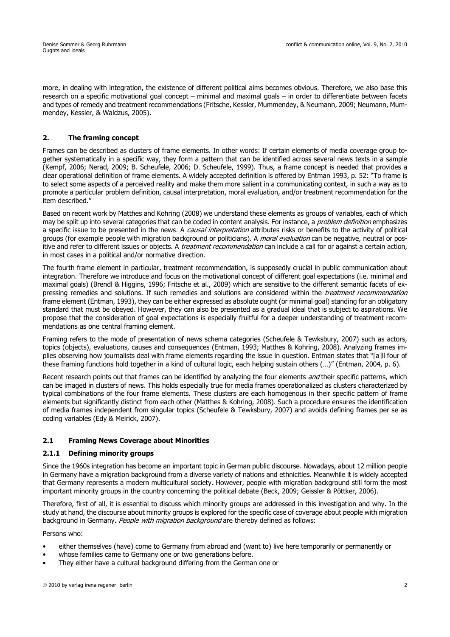more, in dealing with integration, the existence of different political aims becomes obvious. Therefore, we also base this research on a specific motivational goal concept – minimal and maximal goals – in order to differentiate between facets and types of remedy and treatment recommendations (Fritsche, Kessler, Mummendey, & Neumann, 2009; Neumann, Mummendey, Kessler, & Waldzus, 2005).

## **2. The framing concept**

Frames can be described as clusters of frame elements. In other words: If certain elements of media coverage group together systematically in a specific way, they form a pattern that can be identified across several news texts in a sample (Kempf, 2006; Nerad, 2009; B. Scheufele, 2006; D. Scheufele, 1999). Thus, a frame concept is needed that provides a clear operational definition of frame elements. A widely accepted definition is offered by Entman 1993, p. 52: "To frame is to select some aspects of a perceived reality and make them more salient in a communicating context, in such a way as to promote a particular problem definition, causal interpretation, moral evaluation, and/or treatment recommendation for the item described."

Based on recent work by Matthes and Kohring (2008) we understand these elements as groups of variables, each of which may be split up into several categories that can be coded in content analysis. For instance, a *problem definition* emphasizes a specific issue to be presented in the news. A causal interpretation attributes risks or benefits to the activity of political groups (for example people with migration background or politicians). A *moral evaluation* can be negative, neutral or positive and refer to different issues or objects. A *treatment recommendation* can include a call for or against a certain action, in most cases in a political and/or normative direction.

The fourth frame element in particular, treatment recommendation, is supposedly crucial in public communication about integration. Therefore we introduce and focus on the motivational concept of different goal expectations (i.e. minimal and maximal goals) (Brendl & Higgins, 1996; Fritsche et al., 2009) which are sensitive to the different semantic facets of expressing remedies and solutions. If such remedies and solutions are considered within the *treatment recommendation* frame element (Entman, 1993), they can be either expressed as absolute ought (or minimal goal) standing for an obligatory standard that must be obeyed. However, they can also be presented as a gradual ideal that is subject to aspirations. We propose that the consideration of goal expectations is especially fruitful for a deeper understanding of treatment recommendations as one central framing element.

Framing refers to the mode of presentation of news schema categories (Scheufele & Tewksbury, 2007) such as actors, topics (objects), evaluations, causes and consequences (Entman, 1993; Matthes & Kohring, 2008). Analyzing frames implies observing how journalists deal with frame elements regarding the issue in question. Entman states that "[a]ll four of these framing functions hold together in a kind of cultural logic, each helping sustain others (…)" (Entman, 2004, p. 6).

Recent research points out that frames can be identified by analyzing the four elements and their specific patterns, which can be imaged in clusters of news. This holds especially true for media frames operationalized as clusters characterized by typical combinations of the four frame elements. These clusters are each homogenous in their specific pattern of frame elements but significantly distinct from each other (Matthes & Kohring, 2008). Such a procedure ensures the identification of media frames independent from singular topics (Scheufele & Tewksbury, 2007) and avoids defining frames per se as coding variables (Edy & Meirick, 2007).

### **2.1 Framing News Coverage about Minorities**

### **2.1.1 Defining minority groups**

Since the 1960s integration has become an important topic in German public discourse. Nowadays, about 12 million people in Germany have a migration background from a diverse variety of nations and ethnicities. Meanwhile it is widely accepted that Germany represents a modern multicultural society. However, people with migration background still form the most important minority groups in the country concerning the political debate (Beck, 2009; Geissler & Pöttker, 2006).

Therefore, first of all, it is essential to discuss which minority groups are addressed in this investigation and why. In the study at hand, the discourse about minority groups is explored for the specific case of coverage about people with migration background in Germany. People with migration background are thereby defined as follows:

Persons who:

- either themselves (have) come to Germany from abroad and (want to) live here temporarily or permanently or
- whose families came to Germany one or two generations before.
- They either have a cultural background differing from the German one or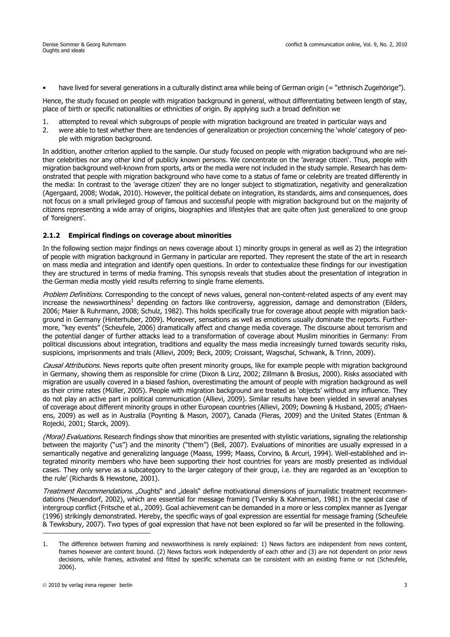• have lived for several generations in a culturally distinct area while being of German origin (= "ethnisch Zugehörige").

Hence, the study focused on people with migration background in general, without differentiating between length of stay, place of birth or specific nationalities or ethnicities of origin. By applying such a broad definition we

- 1. attempted to reveal which subgroups of people with migration background are treated in particular ways and
- 2. were able to test whether there are tendencies of generalization or projection concerning the 'whole' category of people with migration background.

In addition, another criterion applied to the sample. Our study focused on people with migration background who are neither celebrities nor any other kind of publicly known persons. We concentrate on the 'average citizen'. Thus, people with migration background well-known from sports, arts or the media were not included in the study sample. Research has demonstrated that people with migration background who have come to a status of fame or celebrity are treated differently in the media: In contrast to the 'average citizen' they are no longer subject to stigmatization, negativity and generalization (Agergaard, 2008; Wodak, 2010). However, the political debate on integration, its standards, aims and consequences, does not focus on a small privileged group of famous and successful people with migration background but on the majority of citizens representing a wide array of origins, biographies and lifestyles that are quite often just generalized to one group of 'foreigners'.

### **2.1.2 Empirical findings on coverage about minorities**

In the following section major findings on news coverage about 1) minority groups in general as well as 2) the integration of people with migration background in Germany in particular are reported. They represent the state of the art in research on mass media and integration and identify open questions. In order to contextualize these findings for our investigation they are structured in terms of media framing. This synopsis reveals that studies about the presentation of integration in the German media mostly yield results referring to single frame elements.

Problem Definitions. Corresponding to the concept of news values, general non-content-related aspects of any event may increase the newsworthiness<sup>1</sup> depending on factors like controversy, aggression, damage and demonstration (Eilders, 2006; Maier & Ruhrmann, 2008; Schulz, 1982). This holds specifically true for coverage about people with migration background in Germany (Hinterhuber, 2009). Moreover, sensations as well as emotions usually dominate the reports. Furthermore, "key events" (Scheufele, 2006) dramatically affect and change media coverage. The discourse about terrorism and the potential danger of further attacks lead to a transformation of coverage about Muslim minorities in Germany: From political discussions about integration, traditions and equality the mass media increasingly turned towards security risks, suspicions, imprisonments and trials (Allievi, 2009; Beck, 2009; Croissant, Wagschal, Schwank, & Trinn, 2009).

Causal Attributions. News reports quite often present minority groups, like for example people with migration background in Germany, showing them as responsible for crime (Dixon & Linz, 2002; Zillmann & Brosius, 2000). Risks associated with migration are usually covered in a biased fashion, overestimating the amount of people with migration background as well as their crime rates (Müller, 2005). People with migration background are treated as 'objects' without any influence. They do not play an active part in political communication (Allievi, 2009). Similar results have been yielded in several analyses of coverage about different minority groups in other European countries (Allievi, 2009; Downing & Husband, 2005; d'Haenens, 2009) as well as in Australia (Poynting & Mason, 2007), Canada (Fleras, 2009) and the United States (Entman & Rojecki, 2001; Starck, 2009).

(Moral) Evaluations. Research findings show that minorities are presented with stylistic variations, signaling the relationship between the majority ("us") and the minority ("them") (Bell, 2007). Evaluations of minorities are usually expressed in a semantically negative and generalizing language (Maass, 1999; Maass, Corvino, & Arcuri, 1994). Well-established and integrated minority members who have been supporting their host countries for years are mostly presented as individual cases. They only serve as a subcategory to the larger category of their group, i.e. they are regarded as an 'exception to the rule' (Richards & Hewstone, 2001).

Treatment Recommendations. "Oughts" and "ideals" define motivational dimensions of journalistic treatment recommendations (Neuendorf, 2002), which are essential for message framing (Tversky & Kahneman, 1981) in the special case of intergroup conflict (Fritsche et al., 2009). Goal achievement can be demanded in a more or less complex manner as Iyengar (1996) strikingly demonstrated. Hereby, the specific ways of goal expression are essential for message framing (Scheufele & Tewksbury, 2007). Two types of goal expression that have not been explored so far will be presented in the following.

<sup>1.</sup> The difference between framing and newsworthiness is rarely explained: 1) News factors are independent from news content, frames however are content bound. (2) News factors work independently of each other and (3) are not dependent on prior news decisions, while frames, activated and fitted by specific schemata can be consistent with an existing frame or not (Scheufele, 2006).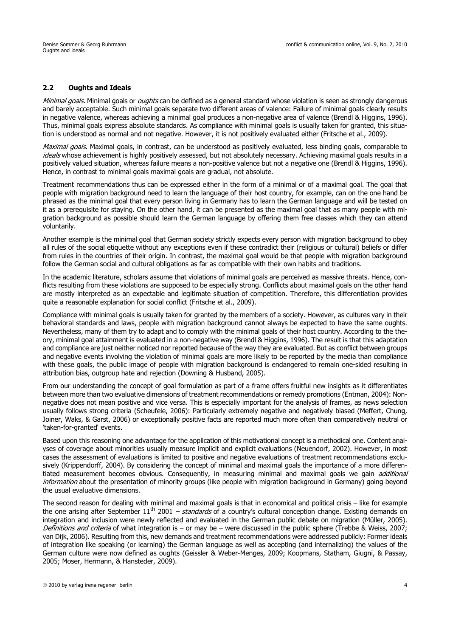### **2.2 Oughts and Ideals**

Minimal goals. Minimal goals or oughts can be defined as a general standard whose violation is seen as strongly dangerous and barely acceptable. Such minimal goals separate two different areas of valence: Failure of minimal goals clearly results in negative valence, whereas achieving a minimal goal produces a non-negative area of valence (Brendl & Higgins, 1996). Thus, minimal goals express absolute standards. As compliance with minimal goals is usually taken for granted, this situation is understood as normal and not negative. However, it is not positively evaluated either (Fritsche et al., 2009).

Maximal goals. Maximal goals, in contrast, can be understood as positively evaluated, less binding goals, comparable to ideals whose achievement is highly positively assessed, but not absolutely necessary. Achieving maximal goals results in a positively valued situation, whereas failure means a non-positive valence but not a negative one (Brendl & Higgins, 1996). Hence, in contrast to minimal goals maximal goals are gradual, not absolute.

Treatment recommendations thus can be expressed either in the form of a minimal or of a maximal goal. The goal that people with migration background need to learn the language of their host country, for example, can on the one hand be phrased as the minimal goal that every person living in Germany has to learn the German language and will be tested on it as a prerequisite for staying. On the other hand, it can be presented as the maximal goal that as many people with migration background as possible should learn the German language by offering them free classes which they can attend voluntarily.

Another example is the minimal goal that German society strictly expects every person with migration background to obey all rules of the social etiquette without any exceptions even if these contradict their (religious or cultural) beliefs or differ from rules in the countries of their origin. In contrast, the maximal goal would be that people with migration background follow the German social and cultural obligations as far as compatible with their own habits and traditions.

In the academic literature, scholars assume that violations of minimal goals are perceived as massive threats. Hence, conflicts resulting from these violations are supposed to be especially strong. Conflicts about maximal goals on the other hand are mostly interpreted as an expectable and legitimate situation of competition. Therefore, this differentiation provides quite a reasonable explanation for social conflict (Fritsche et al., 2009).

Compliance with minimal goals is usually taken for granted by the members of a society. However, as cultures vary in their behavioral standards and laws, people with migration background cannot always be expected to have the same oughts. Nevertheless, many of them try to adapt and to comply with the minimal goals of their host country. According to the theory, minimal goal attainment is evaluated in a non-negative way (Brendl & Higgins, 1996). The result is that this adaptation and compliance are just neither noticed nor reported because of the way they are evaluated. But as conflict between groups and negative events involving the violation of minimal goals are more likely to be reported by the media than compliance with these goals, the public image of people with migration background is endangered to remain one-sided resulting in attribution bias, outgroup hate and rejection (Downing & Husband, 2005).

From our understanding the concept of goal formulation as part of a frame offers fruitful new insights as it differentiates between more than two evaluative dimensions of treatment recommendations or remedy promotions (Entman, 2004): Nonnegative does not mean positive and vice versa. This is especially important for the analysis of frames, as news selection usually follows strong criteria (Scheufele, 2006): Particularly extremely negative and negatively biased (Meffert, Chung, Joiner, Waks, & Garst, 2006) or exceptionally positive facts are reported much more often than comparatively neutral or 'taken-for-granted' events.

Based upon this reasoning one advantage for the application of this motivational concept is a methodical one. Content analyses of coverage about minorities usually measure implicit and explicit evaluations (Neuendorf, 2002). However, in most cases the assessment of evaluations is limited to positive and negative evaluations of treatment recommendations exclusively (Krippendorff, 2004). By considering the concept of minimal and maximal goals the importance of a more differentiated measurement becomes obvious. Consequently, in measuring minimal and maximal goals we gain *additional* information about the presentation of minority groups (like people with migration background in Germany) going beyond the usual evaluative dimensions.

The second reason for dealing with minimal and maximal goals is that in economical and political crisis – like for example the one arising after September  $11^{\text{th}}$  2001 – *standards* of a country's cultural conception change. Existing demands on integration and inclusion were newly reflected and evaluated in the German public debate on migration (Müller, 2005). Definitions and criteria of what integration is – or may be – were discussed in the public sphere (Trebbe & Weiss, 2007; van Dijk, 2006). Resulting from this, new demands and treatment recommendations were addressed publicly: Former ideals of integration like speaking (or learning) the German language as well as accepting (and internalizing) the values of the German culture were now defined as oughts (Geissler & Weber-Menges, 2009; Koopmans, Statham, Giugni, & Passay, 2005; Moser, Hermann, & Hansteder, 2009).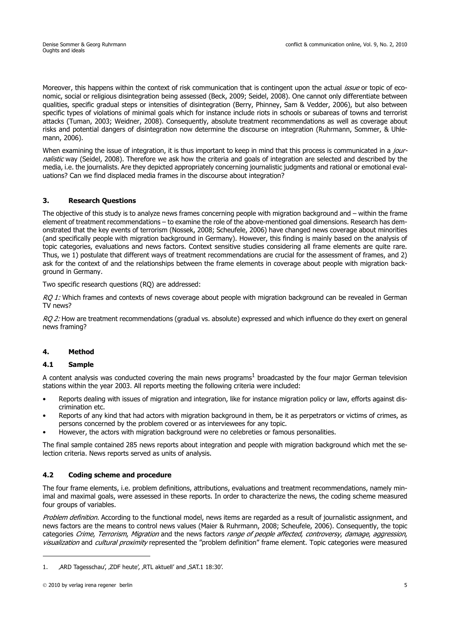Moreover, this happens within the context of risk communication that is contingent upon the actual *issue* or topic of economic, social or religious disintegration being assessed (Beck, 2009; Seidel, 2008). One cannot only differentiate between qualities, specific gradual steps or intensities of disintegration (Berry, Phinney, Sam & Vedder, 2006), but also between specific types of violations of minimal goals which for instance include riots in schools or subareas of towns and terrorist attacks (Tuman, 2003; Weidner, 2008). Consequently, absolute treatment recommendations as well as coverage about risks and potential dangers of disintegration now determine the discourse on integration (Ruhrmann, Sommer, & Uhlemann, 2006).

When examining the issue of integration, it is thus important to keep in mind that this process is communicated in a journalistic way (Seidel, 2008). Therefore we ask how the criteria and goals of integration are selected and described by the media, i.e. the journalists. Are they depicted appropriately concerning journalistic judgments and rational or emotional evaluations? Can we find displaced media frames in the discourse about integration?

## **3. Research Questions**

The objective of this study is to analyze news frames concerning people with migration background and – within the frame element of treatment recommendations – to examine the role of the above-mentioned goal dimensions. Research has demonstrated that the key events of terrorism (Nossek, 2008; Scheufele, 2006) have changed news coverage about minorities (and specifically people with migration background in Germany). However, this finding is mainly based on the analysis of topic categories, evaluations and news factors. Context sensitive studies considering all frame elements are quite rare. Thus, we 1) postulate that different ways of treatment recommendations are crucial for the assessment of frames, and 2) ask for the context of and the relationships between the frame elements in coverage about people with migration background in Germany.

Two specific research questions (RQ) are addressed:

RQ 1: Which frames and contexts of news coverage about people with migration background can be revealed in German TV news?

RO 2: How are treatment recommendations (gradual vs. absolute) expressed and which influence do they exert on general news framing?

## **4. Method**

## **4.1 Sample**

A content analysis was conducted covering the main news programs<sup>1</sup> broadcasted by the four major German television stations within the year 2003. All reports meeting the following criteria were included:

- Reports dealing with issues of migration and integration, like for instance migration policy or law, efforts against discrimination etc.
- Reports of any kind that had actors with migration background in them, be it as perpetrators or victims of crimes, as persons concerned by the problem covered or as interviewees for any topic.
- However, the actors with migration background were no celebreties or famous personalities.

The final sample contained 285 news reports about integration and people with migration background which met the selection criteria. News reports served as units of analysis.

## **4.2 Coding scheme and procedure**

The four frame elements, i.e. problem definitions, attributions, evaluations and treatment recommendations, namely minimal and maximal goals, were assessed in these reports. In order to characterize the news, the coding scheme measured four groups of variables.

Problem definition. According to the functional model, news items are regarded as a result of journalistic assignment, and news factors are the means to control news values (Maier & Ruhrmann, 2008; Scheufele, 2006). Consequently, the topic categories Crime, Terrorism, Migration and the news factors range of people affected, controversy, damage, aggression, visualization and cultural proximity represented the "problem definition" frame element. Topic categories were measured

<sup>1.</sup> ARD Tagesschau', ,ZDF heute', ,RTL aktuell' and ,SAT.1 18:30'.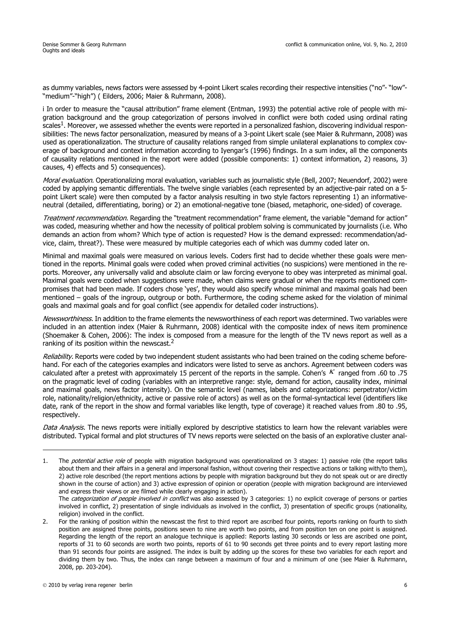as dummy variables, news factors were assessed by 4-point Likert scales recording their respective intensities ("no"- "low"-"medium"-"high") ( Eilders, 2006; Maier & Ruhrmann, 2008).

i In order to measure the "causal attribution" frame element (Entman, 1993) the potential active role of people with migration background and the group categorization of persons involved in conflict were both coded using ordinal rating scales<sup>1</sup>. Moreover, we assessed whether the events were reported in a personalized fashion, discovering individual responsibilities: The news factor personalization, measured by means of a 3-point Likert scale (see Maier & Ruhrmann, 2008) was used as operationalization. The structure of causality relations ranged from simple unilateral explanations to complex coverage of background and context information according to Iyengar's (1996) findings. In a sum index, all the components of causality relations mentioned in the report were added (possible components: 1) context information, 2) reasons, 3) causes, 4) effects and 5) consequences).

Moral evaluation. Operationalizing moral evaluation, variables such as journalistic style (Bell, 2007; Neuendorf, 2002) were coded by applying semantic differentials. The twelve single variables (each represented by an adjective-pair rated on a 5 point Likert scale) were then computed by a factor analysis resulting in two style factors representing 1) an informativeneutral (detailed, differentiating, boring) or 2) an emotional-negative tone (biased, metaphoric, one-sided) of coverage.

Treatment recommendation. Regarding the "treatment recommendation" frame element, the variable "demand for action" was coded, measuring whether and how the necessity of political problem solving is communicated by journalists (i.e. Who demands an action from whom? Which type of action is requested? How is the demand expressed: recommendation/advice, claim, threat?). These were measured by multiple categories each of which was dummy coded later on.

Minimal and maximal goals were measured on various levels. Coders first had to decide whether these goals were mentioned in the reports. Minimal goals were coded when proved criminal activities (no suspicions) were mentioned in the reports. Moreover, any universally valid and absolute claim or law forcing everyone to obey was interpreted as minimal goal. Maximal goals were coded when suggestions were made, when claims were gradual or when the reports mentioned compromises that had been made. If coders chose 'yes', they would also specify whose minimal and maximal goals had been mentioned – goals of the ingroup, outgroup or both. Furthermore, the coding scheme asked for the violation of minimal goals and maximal goals and for goal conflict (see appendix for detailed coder instructions).

Newsworthiness. In addition to the frame elements the newsworthiness of each report was determined. Two variables were included in an attention index (Maier & Ruhrmann, 2008) identical with the composite index of news item prominence (Shoemaker & Cohen, 2006): The index is composed from a measure for the length of the TV news report as well as a ranking of its position within the newscast.<sup>2</sup>

Reliability. Reports were coded by two independent student assistants who had been trained on the coding scheme beforehand. For each of the categories examples and indicators were listed to serve as anchors. Agreement between coders was calculated after a pretest with approximately 15 percent of the reports in the sample. Cohen's K ranged from .60 to .75 on the pragmatic level of coding (variables with an interpretive range: style, demand for action, causality index, minimal and maximal goals, news factor intensity). On the semantic level (names, labels and categorizations: perpetrator/victim role, nationality/religion/ethnicity, active or passive role of actors) as well as on the formal-syntactical level (identifiers like date, rank of the report in the show and formal variables like length, type of coverage) it reached values from .80 to .95, respectively.

Data Analysis. The news reports were initially explored by descriptive statistics to learn how the relevant variables were distributed. Typical formal and plot structures of TV news reports were selected on the basis of an explorative cluster anal-

<sup>1.</sup> The *potential active role* of people with migration background was operationalized on 3 stages: 1) passive role (the report talks about them and their affairs in a general and impersonal fashion, without covering their respective actions or talking with/to them), 2) active role described (the report mentions actions by people with migration background but they do not speak out or are directly shown in the course of action) and 3) active expression of opinion or operation (people with migration background are interviewed and express their views or are filmed while clearly engaging in action).

The categorization of people involved in conflict was also assessed by 3 categories: 1) no explicit coverage of persons or parties involved in conflict, 2) presentation of single individuals as involved in the conflict, 3) presentation of specific groups (nationality, religion) involved in the conflict.

<sup>2.</sup> For the ranking of position within the newscast the first to third report are ascribed four points, reports ranking on fourth to sixth position are assigned three points, positions seven to nine are worth two points, and from position ten on one point is assigned. Regarding the length of the report an analogue technique is applied: Reports lasting 30 seconds or less are ascribed one point, reports of 31 to 60 seconds are worth two points, reports of 61 to 90 seconds get three points and to every report lasting more than 91 seconds four points are assigned. The index is built by adding up the scores for these two variables for each report and dividing them by two. Thus, the index can range between a maximum of four and a minimum of one (see Maier & Ruhrmann, 2008, pp. 203-204).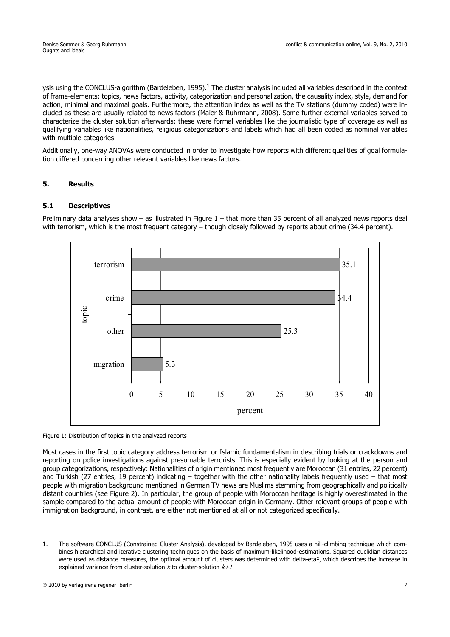ysis using the CONCLUS-algorithm (Bardeleben, 1995).<sup>1</sup> The cluster analysis included all variables described in the context of frame-elements: topics, news factors, activity, categorization and personalization, the causality index, style, demand for action, minimal and maximal goals. Furthermore, the attention index as well as the TV stations (dummy coded) were included as these are usually related to news factors (Maier & Ruhrmann, 2008). Some further external variables served to characterize the cluster solution afterwards: these were formal variables like the journalistic type of coverage as well as qualifying variables like nationalities, religious categorizations and labels which had all been coded as nominal variables with multiple categories.

Additionally, one-way ANOVAs were conducted in order to investigate how reports with different qualities of goal formulation differed concerning other relevant variables like news factors.

## **5. Results**

## **5.1 Descriptives**

Preliminary data analyses show – as illustrated in Figure 1 – that more than 35 percent of all analyzed news reports deal with terrorism, which is the most frequent category – though closely followed by reports about crime (34.4 percent).



#### Figure 1: Distribution of topics in the analyzed reports

Most cases in the first topic category address terrorism or Islamic fundamentalism in describing trials or crackdowns and reporting on police investigations against presumable terrorists. This is especially evident by looking at the person and group categorizations, respectively: Nationalities of origin mentioned most frequently are Moroccan (31 entries, 22 percent) and Turkish (27 entries, 19 percent) indicating – together with the other nationality labels frequently used – that most people with migration background mentioned in German TV news are Muslims stemming from geographically and politically distant countries (see Figure 2). In particular, the group of people with Moroccan heritage is highly overestimated in the sample compared to the actual amount of people with Moroccan origin in Germany. Other relevant groups of people with immigration background, in contrast, are either not mentioned at all or not categorized specifically.

<sup>1.</sup> The software CONCLUS (Constrained Cluster Analysis), developed by Bardeleben, 1995 uses a hill-climbing technique which combines hierarchical and iterative clustering techniques on the basis of maximum-likelihood-estimations. Squared euclidian distances were used as distance measures, the optimal amount of clusters was determined with delta-eta<sup>2</sup>, which describes the increase in explained variance from cluster-solution  $k$  to cluster-solution  $k+1$ .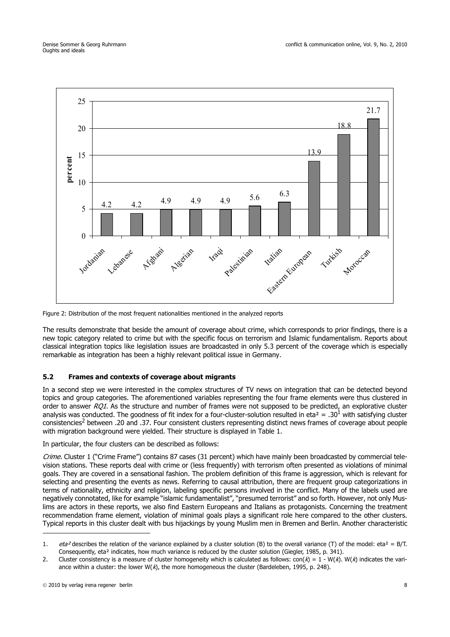

Figure 2: Distribution of the most frequent nationalities mentioned in the analyzed reports

The results demonstrate that beside the amount of coverage about crime, which corresponds to prior findings, there is a new topic category related to crime but with the specific focus on terrorism and Islamic fundamentalism. Reports about classical integration topics like legislation issues are broadcasted in only 5.3 percent of the coverage which is especially remarkable as integration has been a highly relevant political issue in Germany.

## **5.2 Frames and contexts of coverage about migrants**

In a second step we were interested in the complex structures of TV news on integration that can be detected beyond topics and group categories. The aforementioned variables representing the four frame elements were thus clustered in order to answer  $RQ1$ . As the structure and number of frames were not supposed to be predicted, an explorative cluster analysis was conducted. The goodness of fit index for a four-cluster-solution resulted in eta<sup>2</sup> = .30<sup>1</sup> with satisfying cluster consistencies<sup>2</sup> between .20 and .37. Four consistent clusters representing distinct news frames of coverage about people with migration background were yielded. Their structure is displayed in Table 1.

In particular, the four clusters can be described as follows:

Crime. Cluster 1 ("Crime Frame") contains 87 cases (31 percent) which have mainly been broadcasted by commercial television stations. These reports deal with crime or (less frequently) with terrorism often presented as violations of minimal goals. They are covered in a sensational fashion. The problem definition of this frame is aggression, which is relevant for selecting and presenting the events as news. Referring to causal attribution, there are frequent group categorizations in terms of nationality, ethnicity and religion, labeling specific persons involved in the conflict. Many of the labels used are negatively connotated, like for example "islamic fundamentalist", "presumed terrorist" and so forth. However, not only Muslims are actors in these reports, we also find Eastern Europeans and Italians as protagonists. Concerning the treatment recommendation frame element, violation of minimal goals plays a significant role here compared to the other clusters. Typical reports in this cluster dealt with bus hijackings by young Muslim men in Bremen and Berlin. Another characteristic

<sup>1.</sup> eta<sup>2</sup> describes the relation of the variance explained by a cluster solution (B) to the overall variance (T) of the model: eta<sup>2</sup> = B/T. Consequently, eta² indicates, how much variance is reduced by the cluster solution (Giegler, 1985, p. 341).

<sup>2.</sup> Cluster consistency is a measure of cluster homogeneity which is calculated as follows:  $con(K) = 1 - W(K)$ . W(k) indicates the variance within a cluster: the lower  $W(\lambda)$ , the more homogeneous the cluster (Bardeleben, 1995, p. 248).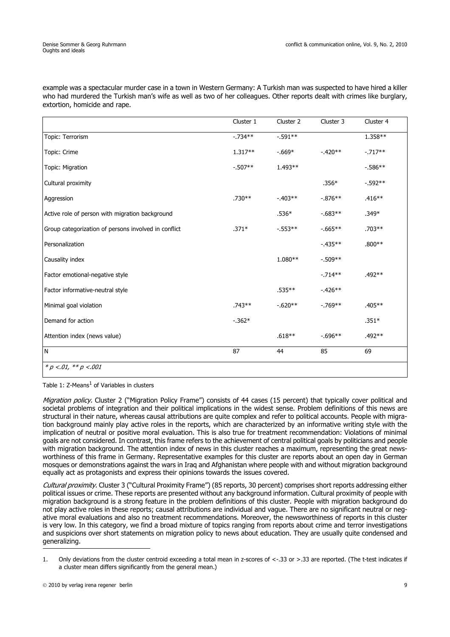example was a spectacular murder case in a town in Western Germany: A Turkish man was suspected to have hired a killer who had murdered the Turkish man's wife as well as two of her colleagues. Other reports dealt with crimes like burglary, extortion, homicide and rape.

|                                                      | Cluster 1  | Cluster 2  | Cluster 3  | Cluster 4 |
|------------------------------------------------------|------------|------------|------------|-----------|
| Topic: Terrorism                                     | $-0.734**$ | $-0.591**$ |            | 1.358**   |
| Topic: Crime                                         | $1.317**$  | $-669*$    | $-420**$   | $-.717**$ |
| Topic: Migration                                     | $-0.507**$ | $1.493**$  |            | $-586**$  |
| Cultural proximity                                   |            |            | $.356*$    | $-592**$  |
| Aggression                                           | $.730**$   | $-403**$   | $-0.876**$ | $.416**$  |
| Active role of person with migration background      |            | $.536*$    | $-0.683**$ | $.349*$   |
| Group categorization of persons involved in conflict | $.371*$    | $-0.553**$ | $-0.665**$ | $.703**$  |
| Personalization                                      |            |            | $-435**$   | $.800**$  |
| Causality index                                      |            | $1.080**$  | $-0.509**$ |           |
| Factor emotional-negative style                      |            |            | $-0.714**$ | .492 **   |
| Factor informative-neutral style                     |            | $.535***$  | $-426**$   |           |
| Minimal goal violation                               | .743**     | $-620**$   | $-0.769**$ | $.405***$ |
| Demand for action                                    | $-0.362*$  |            |            | $.351*$   |
| Attention index (news value)                         |            | $.618**$   | $-0.696**$ | $.492**$  |
| $\mathsf{N}$                                         | 87         | 44         | 85         | 69        |

Table 1:  $Z$ -Means<sup>1</sup> of Variables in clusters

Migration policy. Cluster 2 ("Migration Policy Frame") consists of 44 cases (15 percent) that typically cover political and societal problems of integration and their political implications in the widest sense. Problem definitions of this news are structural in their nature, whereas causal attributions are quite complex and refer to political accounts. People with migration background mainly play active roles in the reports, which are characterized by an informative writing style with the implication of neutral or positive moral evaluation. This is also true for treatment recommendation: Violations of minimal goals are not considered. In contrast, this frame refers to the achievement of central political goals by politicians and people with migration background. The attention index of news in this cluster reaches a maximum, representing the great newsworthiness of this frame in Germany. Representative examples for this cluster are reports about an open day in German mosques or demonstrations against the wars in Iraq and Afghanistan where people with and without migration background equally act as protagonists and express their opinions towards the issues covered.

Cultural proximity. Cluster 3 ("Cultural Proximity Frame") (85 reports, 30 percent) comprises short reports addressing either political issues or crime. These reports are presented without any background information. Cultural proximity of people with migration background is a strong feature in the problem definitions of this cluster. People with migration background do not play active roles in these reports; causal attributions are individual and vague. There are no significant neutral or negative moral evaluations and also no treatment recommendations. Moreover, the newsworthiness of reports in this cluster is very low. In this category, we find a broad mixture of topics ranging from reports about crime and terror investigations and suspicions over short statements on migration policy to news about education. They are usually quite condensed and generalizing.

<sup>1.</sup> Only deviations from the cluster centroid exceeding a total mean in z-scores of <-.33 or >.33 are reported. (The t-test indicates if a cluster mean differs significantly from the general mean.)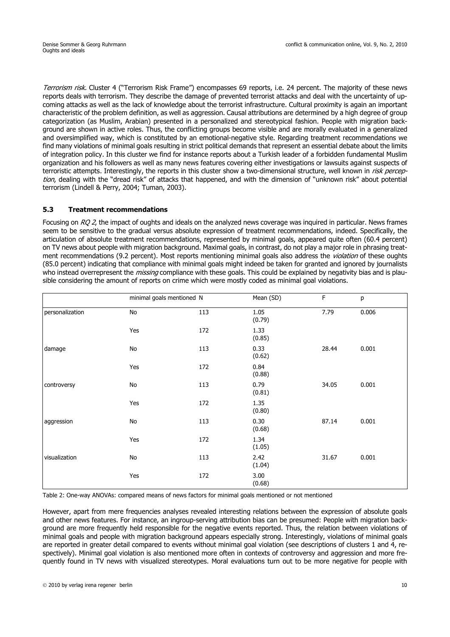Terrorism risk. Cluster 4 ("Terrorism Risk Frame") encompasses 69 reports, i.e. 24 percent. The majority of these news reports deals with terrorism. They describe the damage of prevented terrorist attacks and deal with the uncertainty of upcoming attacks as well as the lack of knowledge about the terrorist infrastructure. Cultural proximity is again an important characteristic of the problem definition, as well as aggression. Causal attributions are determined by a high degree of group categorization (as Muslim, Arabian) presented in a personalized and stereotypical fashion. People with migration background are shown in active roles. Thus, the conflicting groups become visible and are morally evaluated in a generalized and oversimplified way, which is constituted by an emotional-negative style. Regarding treatment recommendations we find many violations of minimal goals resulting in strict political demands that represent an essential debate about the limits of integration policy. In this cluster we find for instance reports about a Turkish leader of a forbidden fundamental Muslim organization and his followers as well as many news features covering either investigations or lawsuits against suspects of terroristic attempts. Interestingly, the reports in this cluster show a two-dimensional structure, well known in risk perception, dealing with the "dread risk" of attacks that happened, and with the dimension of "unknown risk" about potential terrorism (Lindell & Perry, 2004; Tuman, 2003).

## **5.3 Treatment recommendations**

Focusing on RO 2, the impact of oughts and ideals on the analyzed news coverage was inquired in particular. News frames seem to be sensitive to the gradual versus absolute expression of treatment recommendations, indeed. Specifically, the articulation of absolute treatment recommendations, represented by minimal goals, appeared quite often (60.4 percent) on TV news about people with migration background. Maximal goals, in contrast, do not play a major role in phrasing treatment recommendations (9.2 percent). Most reports mentioning minimal goals also address the *violation* of these oughts (85.0 percent) indicating that compliance with minimal goals might indeed be taken for granted and ignored by journalists who instead overrepresent the *missing* compliance with these goals. This could be explained by negativity bias and is plausible considering the amount of reports on crime which were mostly coded as minimal goal violations.

|                 | minimal goals mentioned N    |     | Mean (SD)      | $\mathsf F$ | p     |
|-----------------|------------------------------|-----|----------------|-------------|-------|
| personalization | $\mathsf{No}$                | 113 | 1.05<br>(0.79) | 7.79        | 0.006 |
|                 | Yes                          | 172 | 1.33<br>(0.85) |             |       |
| damage          | $\mathsf{No}$                | 113 | 0.33<br>(0.62) | 28.44       | 0.001 |
|                 | Yes                          | 172 | 0.84<br>(0.88) |             |       |
| controversy     | $\operatorname{\mathsf{No}}$ | 113 | 0.79<br>(0.81) | 34.05       | 0.001 |
|                 | Yes                          | 172 | 1.35<br>(0.80) |             |       |
| aggression      | $\mathsf{No}$                | 113 | 0.30<br>(0.68) | 87.14       | 0.001 |
|                 | Yes                          | 172 | 1.34<br>(1.05) |             |       |
| visualization   | No                           | 113 | 2.42<br>(1.04) | 31.67       | 0.001 |
|                 | Yes                          | 172 | 3.00<br>(0.68) |             |       |

Table 2: One-way ANOVAs: compared means of news factors for minimal goals mentioned or not mentioned

However, apart from mere frequencies analyses revealed interesting relations between the expression of absolute goals and other news features. For instance, an ingroup-serving attribution bias can be presumed: People with migration background are more frequently held responsible for the negative events reported. Thus, the relation between violations of minimal goals and people with migration background appears especially strong. Interestingly, violations of minimal goals are reported in greater detail compared to events without minimal goal violation (see descriptions of clusters 1 and 4, respectively). Minimal goal violation is also mentioned more often in contexts of controversy and aggression and more frequently found in TV news with visualized stereotypes. Moral evaluations turn out to be more negative for people with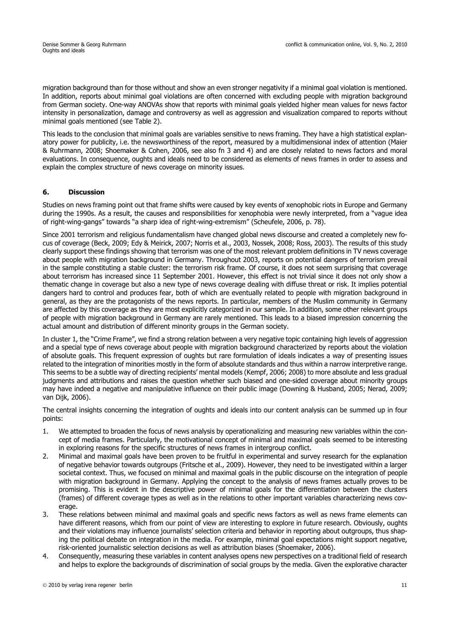migration background than for those without and show an even stronger negativity if a minimal goal violation is mentioned. In addition, reports about minimal goal violations are often concerned with excluding people with migration background from German society. One-way ANOVAs show that reports with minimal goals yielded higher mean values for news factor intensity in personalization, damage and controversy as well as aggression and visualization compared to reports without minimal goals mentioned (see Table 2).

This leads to the conclusion that minimal goals are variables sensitive to news framing. They have a high statistical explanatory power for publicity, i.e. the newsworthiness of the report, measured by a multidimensional index of attention (Maier & Ruhrmann, 2008; Shoemaker & Cohen, 2006, see also fn 3 and 4) and are closely related to news factors and moral evaluations. In consequence, oughts and ideals need to be considered as elements of news frames in order to assess and explain the complex structure of news coverage on minority issues.

## **6. Discussion**

Studies on news framing point out that frame shifts were caused by key events of xenophobic riots in Europe and Germany during the 1990s. As a result, the causes and responsibilities for xenophobia were newly interpreted, from a "vague idea of right-wing-gangs" towards "a sharp idea of right-wing-extremism" (Scheufele, 2006, p. 78).

Since 2001 terrorism and religious fundamentalism have changed global news discourse and created a completely new focus of coverage (Beck, 2009; Edy & Meirick, 2007; Norris et al., 2003, Nossek, 2008; Ross, 2003). The results of this study clearly support these findings showing that terrorism was one of the most relevant problem definitions in TV news coverage about people with migration background in Germany. Throughout 2003, reports on potential dangers of terrorism prevail in the sample constituting a stable cluster: the terrorism risk frame. Of course, it does not seem surprising that coverage about terrorism has increased since 11 September 2001. However, this effect is not trivial since it does not only show a thematic change in coverage but also a new type of news coverage dealing with diffuse threat or risk. It implies potential dangers hard to control and produces fear, both of which are eventually related to people with migration background in general, as they are the protagonists of the news reports. In particular, members of the Muslim community in Germany are affected by this coverage as they are most explicitly categorized in our sample. In addition, some other relevant groups of people with migration background in Germany are rarely mentioned. This leads to a biased impression concerning the actual amount and distribution of different minority groups in the German society.

In cluster 1, the "Crime Frame", we find a strong relation between a very negative topic containing high levels of aggression and a special type of news coverage about people with migration background characterized by reports about the violation of absolute goals. This frequent expression of oughts but rare formulation of ideals indicates a way of presenting issues related to the integration of minorities mostly in the form of absolute standards and thus within a narrow interpretive range. This seems to be a subtle way of directing recipients' mental models (Kempf, 2006; 2008) to more absolute and less gradual judgments and attributions and raises the question whether such biased and one-sided coverage about minority groups may have indeed a negative and manipulative influence on their public image (Downing & Husband, 2005; Nerad, 2009; van Dijk, 2006).

The central insights concerning the integration of oughts and ideals into our content analysis can be summed up in four points:

- 1. We attempted to broaden the focus of news analysis by operationalizing and measuring new variables within the concept of media frames. Particularly, the motivational concept of minimal and maximal goals seemed to be interesting in exploring reasons for the specific structures of news frames in intergroup conflict.
- 2. Minimal and maximal goals have been proven to be fruitful in experimental and survey research for the explanation of negative behavior towards outgroups (Fritsche et al., 2009). However, they need to be investigated within a larger societal context. Thus, we focused on minimal and maximal goals in the public discourse on the integration of people with migration background in Germany. Applying the concept to the analysis of news frames actually proves to be promising. This is evident in the descriptive power of minimal goals for the differentiation between the clusters (frames) of different coverage types as well as in the relations to other important variables characterizing news coverage.
- 3. These relations between minimal and maximal goals and specific news factors as well as news frame elements can have different reasons, which from our point of view are interesting to explore in future research. Obviously, oughts and their violations may influence journalists' selection criteria and behavior in reporting about outgroups, thus shaping the political debate on integration in the media. For example, minimal goal expectations might support negative, risk-oriented journalistic selection decisions as well as attribution biases (Shoemaker, 2006).
- 4. Consequently, measuring these variables in content analyses opens new perspectives on a traditional field of research and helps to explore the backgrounds of discrimination of social groups by the media. Given the explorative character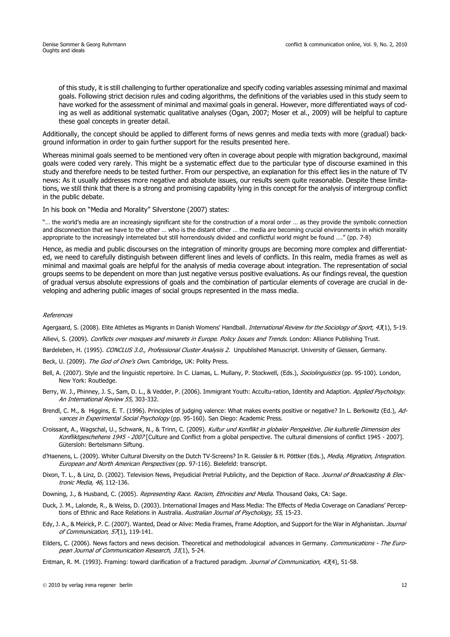of this study, it is still challenging to further operationalize and specify coding variables assessing minimal and maximal goals. Following strict decision rules and coding algorithms, the definitions of the variables used in this study seem to have worked for the assessment of minimal and maximal goals in general. However, more differentiated ways of coding as well as additional systematic qualitative analyses (Ogan, 2007; Moser et al., 2009) will be helpful to capture these goal concepts in greater detail.

Additionally, the concept should be applied to different forms of news genres and media texts with more (gradual) background information in order to gain further support for the results presented here.

Whereas minimal goals seemed to be mentioned very often in coverage about people with migration background, maximal goals were coded very rarely. This might be a systematic effect due to the particular type of discourse examined in this study and therefore needs to be tested further. From our perspective, an explanation for this effect lies in the nature of TV news: As it usually addresses more negative and absolute issues, our results seem quite reasonable. Despite these limitations, we still think that there is a strong and promising capability lying in this concept for the analysis of intergroup conflict in the public debate.

In his book on "Media and Morality" Silverstone (2007) states:

"… the world's media are an increasingly significant site for the construction of a moral order … as they provide the symbolic connection and disconnection that we have to the other … who is the distant other … the media are becoming crucial environments in which morality appropriate to the increasingly interrelated but still horrendously divided and conflictful world might be found …." (pp. 7-8)

Hence, as media and public discourses on the integration of minority groups are becoming more complex and differentiated, we need to carefully distinguish between different lines and levels of conflicts. In this realm, media frames as well as minimal and maximal goals are helpful for the analysis of media coverage about integration. The representation of social groups seems to be dependent on more than just negative versus positive evaluations. As our findings reveal, the question of gradual versus absolute expressions of goals and the combination of particular elements of coverage are crucial in developing and adhering public images of social groups represented in the mass media.

#### References

Agergaard, S. (2008). Elite Athletes as Migrants in Danish Womens' Handball. *International Review for the Sociology of Sport*, 43(1), 5-19.

Allievi, S. (2009). Conflicts over mosques and minarets in Europe. Policy Issues and Trends. London: Alliance Publishing Trust.

Bardeleben, H. (1995). CONCLUS 3.0., Professional Cluster Analysis 2. Unpublished Manuscript. University of Giessen, Germany.

Beck, U. (2009). The God of One's Own. Cambridge, UK: Polity Press.

- Bell, A. (2007). Style and the linguistic repertoire. In C. Llamas, L. Mullany, P. Stockwell, (Eds.), Sociolinguistics (pp. 95-100). London, New York: Routledge.
- Berry, W. J., Phinney, J. S., Sam, D. L., & Vedder, P. (2006). Immigrant Youth: Accultu-ration, Identity and Adaption. Applied Psychology. An International Review 55, 303-332.
- Brendl, C. M., & Higgins, E. T. (1996). Principles of judging valence: What makes events positive or negative? In L. Berkowitz (Ed.), Advances in Experimental Social Psychology (pp. 95-160). San Diego: Academic Press.
- Croissant, A., Wagschal, U., Schwank, N., & Trinn, C. (2009). Kultur und Konflikt in globaler Perspektive. Die kulturelle Dimension des Konfliktgeschehens 1945 - 2007 [Culture and Conflict from a global perspective. The cultural dimensions of conflict 1945 - 2007]. Gütersloh: Bertelsmann Siftung.
- d'Haenens, L. (2009). Whiter Cultural Diversity on the Dutch TV-Screens? In R. Geissler & H. Pöttker (Eds.), Media, Migration, Integration. European and North American Perspectives (pp. 97-116). Bielefeld: transcript.
- Dixon, T. L., & Linz, D. (2002). Television News, Prejudicial Pretrial Publicity, and the Depiction of Race. Journal of Broadcasting & Electronic Media, 46, 112-136.

Downing, J., & Husband, C. (2005). Representing Race. Racism, Ethnicities and Media. Thousand Oaks, CA: Sage.

- Duck, J. M., Lalonde, R., & Weiss, D. (2003). International Images and Mass Media: The Effects of Media Coverage on Canadians' Perceptions of Ethnic and Race Relations in Australia. Australian Journal of Psychology, 55, 15-23.
- Edy, J. A., & Meirick, P. C. (2007). Wanted, Dead or Alive: Media Frames, Frame Adoption, and Support for the War in Afghanistan. Journal of Communication, 57(1), 119-141.
- Eilders, C. (2006). News factors and news decision. Theoretical and methodological advances in Germany. Communications The European Journal of Communication Research, 31(1), 5-24.
- Entman, R. M. (1993). Framing: toward clarification of a fractured paradigm. Journal of Communication, 43(4), 51-58.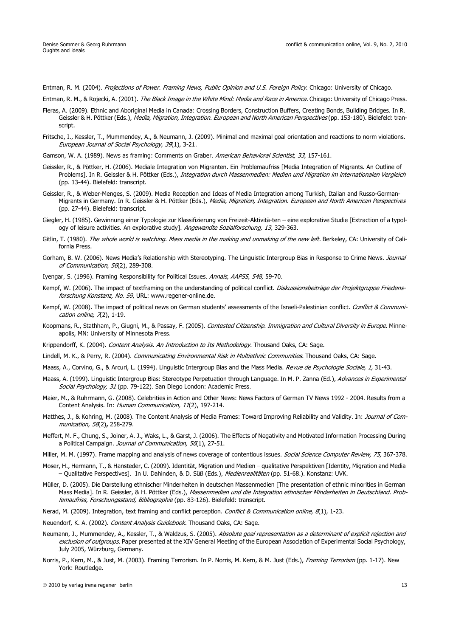Entman, R. M. (2004). Projections of Power. Framing News, Public Opinion and U.S. Foreign Policy. Chicago: University of Chicago.

Entman, R. M., & Rojecki, A. (2001). The Black Image in the White Mind: Media and Race in America. Chicago: University of Chicago Press.

- Fleras, A. (2009). Ethnic and Aboriginal Media in Canada: Crossing Borders, Construction Buffers, Creating Bonds, Building Bridges. In R. Geissler & H. Pöttker (Eds.), Media, Migration, Integration. European and North American Perspectives (pp. 153-180). Bielefeld: transcript.
- Fritsche, I., Kessler, T., Mummendey, A., & Neumann, J. (2009). Minimal and maximal goal orientation and reactions to norm violations. European Journal of Social Psychology, 39(1), 3-21.
- Gamson, W. A. (1989). News as framing: Comments on Graber. American Behavioral Scientist, 33, 157-161.
- Geissler, R., & Pöttker, H. (2006). Mediale Integration von Migranten. Ein Problemaufriss [Media Integration of Migrants. An Outline of Problems]. In R. Geissler & H. Pöttker (Eds.), Integration durch Massenmedien: Medien und Migration im internationalen Vergleich (pp. 13-44). Bielefeld: transcript.
- Geissler, R., & Weber-Menges, S. (2009). Media Reception and Ideas of Media Integration among Turkish, Italian and Russo-German-Migrants in Germany. In R. Geissler & H. Pöttker (Eds.), Media, Migration, Integration. European and North American Perspectives (pp. 27-44). Bielefeld: transcript.
- Giegler, H. (1985). Gewinnung einer Typologie zur Klassifizierung von Freizeit-Aktivitä-ten eine explorative Studie [Extraction of a typology of leisure activities. An explorative study]. Angewandte Sozialforschung, 13, 329-363.
- Gitlin, T. (1980). The whole world is watching. Mass media in the making and unmaking of the new left. Berkeley, CA: University of California Press.
- Gorham, B. W. (2006). News Media's Relationship with Stereotyping. The Linguistic Intergroup Bias in Response to Crime News. Journal of Communication, 56(2), 289-308.
- Iyengar, S. (1996). Framing Responsibility for Political Issues. Annals, AAPSS, 548, 59-70.
- Kempf, W. (2006). The impact of textframing on the understanding of political conflict. Diskussionsbeiträge der Projektgruppe Friedensforschung Konstanz, No. 59, URL: www.regener-online.de.
- Kempf, W. (2008). The impact of political news on German students' assessments of the Israeli-Palestinian conflict. Conflict & Communication online,  $\pi(2)$ , 1-19.
- Koopmans, R., Stathham, P., Giugni, M., & Passay, F. (2005). Contested Citizenship. Immigration and Cultural Diversity in Europe. Minneapolis, MN: University of Minnesota Press.
- Krippendorff, K. (2004). Content Analysis. An Introduction to Its Methodology. Thousand Oaks, CA: Sage.
- Lindell, M. K., & Perry, R. (2004). Communicating Environmental Risk in Multiethnic Communities. Thousand Oaks, CA: Sage.
- Maass, A., Corvino, G., & Arcuri, L. (1994). Linguistic Intergroup Bias and the Mass Media. Revue de Psychologie Sociale, 1, 31-43.
- Maass, A. (1999). Linguistic Intergroup Bias: Stereotype Perpetuation through Language. In M. P. Zanna (Ed.), Advances in Experimental Social Psychology, 31 (pp. 79-122). San Diego London: Academic Press.
- Maier, M., & Ruhrmann, G. (2008). Celebrities in Action and Other News: News Factors of German TV News 1992 2004. Results from a Content Analysis. In: Human Communication, 11(2), 197-214.
- Matthes, J., & Kohring, M. (2008). The Content Analysis of Media Frames: Toward Improving Reliability and Validity. In: Journal of Communication, 58(2)**,** 258-279.
- Meffert, M. F., Chung, S., Joiner, A. J., Waks, L., & Garst, J. (2006). The Effects of Negativity and Motivated Information Processing During a Political Campaign. Journal of Communication, 56(1), 27-51.
- Miller, M. M. (1997). Frame mapping and analysis of news coverage of contentious issues. Social Science Computer Review, 75, 367-378.
- Moser, H., Hermann, T., & Hansteder, C. (2009). Identität, Migration und Medien qualitative Perspektiven [Identity, Migration and Media – Qualitative Perspectives]. In U. Dahinden, & D. Süß (Eds.), Medienrealitäten (pp. 51-68.). Konstanz: UVK.
- Müller, D. (2005). Die Darstellung ethnischer Minderheiten in deutschen Massenmedien [The presentation of ethnic minorities in German Mass Media]. In R. Geissler, & H. Pöttker (Eds.), Massenmedien und die Integration ethnischer Minderheiten in Deutschland. Problemaufriss, Forschungsstand, Bibliographie (pp. 83-126). Bielefeld: transcript.
- Nerad, M. (2009). Integration, text framing and conflict perception. Conflict & Communication online, 8(1), 1-23.
- Neuendorf, K. A. (2002). Content Analysis Guidebook. Thousand Oaks, CA: Sage.
- Neumann, J., Mummendey, A., Kessler, T., & Waldzus, S. (2005). Absolute goal representation as a determinant of explicit rejection and exclusion of outgroups. Paper presented at the XIV General Meeting of the European Association of Experimental Social Psychology, July 2005, Würzburg, Germany.
- Norris, P., Kern, M., & Just, M. (2003). Framing Terrorism. In P. Norris, M. Kern, & M. Just (Eds.), Framing Terrorism (pp. 1-17). New York: Routledge.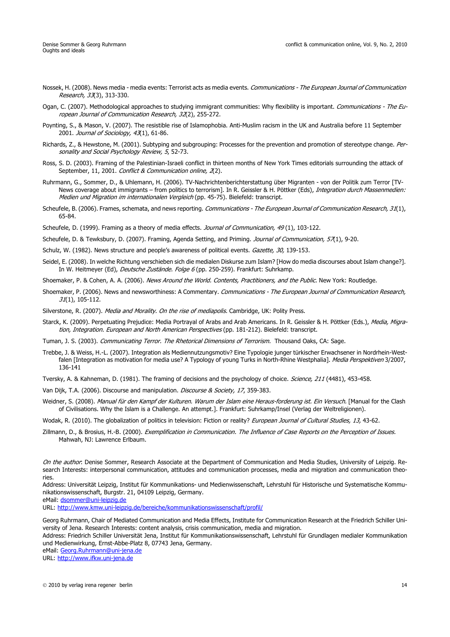- Nossek, H. (2008). News media media events: Terrorist acts as media events. Communications The European Journal of Communication Research, 33(3), 313-330.
- Ogan, C. (2007). Methodological approaches to studying immigrant communities: Why flexibility is important. Communications The European Journal of Communication Research, 32(2), 255-272.
- Poynting, S., & Mason, V. (2007). The resistible rise of Islamophobia. Anti-Muslim racism in the UK and Australia before 11 September 2001. Journal of Sociology, 43(1), 61-86.
- Richards, Z., & Hewstone, M. (2001). Subtyping and subgrouping: Processes for the prevention and promotion of stereotype change. Personality and Social Psychology Review, 5, 52-73.
- Ross, S. D. (2003). Framing of the Palestinian-Israeli conflict in thirteen months of New York Times editorials surrounding the attack of September, 11, 2001. Conflict & Communication online, 2(2).
- Ruhrmann, G., Sommer, D., & Uhlemann, H. (2006). TV-Nachrichtenberichterstattung über Migranten von der Politik zum Terror [TV-News coverage about immigrants – from politics to terrorism]. In R. Geissler & H. Pöttker (Eds), Integration durch Massenmedien: Medien und Migration im internationalen Vergleich (pp. 45-75). Bielefeld: transcript.
- Scheufele, B. (2006). Frames, schemata, and news reporting. Communications The European Journal of Communication Research, 31(1), 65-84.
- Scheufele, D. (1999). Framing as a theory of media effects. Journal of Communication, 49(1), 103-122.
- Scheufele, D. & Tewksbury, D. (2007). Framing, Agenda Setting, and Priming. Journal of Communication, 57(1), 9-20.
- Schulz, W. (1982). News structure and people's awareness of political events. Gazette, 30, 139-153.
- Seidel, E. (2008). In welche Richtung verschieben sich die medialen Diskurse zum Islam? [How do media discourses about Islam change?]. In W. Heitmeyer (Ed), Deutsche Zustände. Folge 6 (pp. 250-259). Frankfurt: Suhrkamp.
- Shoemaker, P. & Cohen, A. A. (2006). News Around the World. Contents, Practitioners, and the Public. New York: Routledge.
- Shoemaker, P. (2006). News and newsworthiness: A Commentary. Communications The European Journal of Communication Research, 31(1), 105-112.
- Silverstone, R. (2007). Media and Morality. On the rise of mediapolis. Cambridge, UK: Polity Press.
- Starck, K. (2009). Perpetuating Prejudice: Media Portrayal of Arabs and Arab Americans. In R. Geissler & H. Pöttker (Eds.), Media, Migration, Integration. European and North American Perspectives (pp. 181-212). Bielefeld: transcript.
- Tuman, J. S. (2003). Communicating Terror. The Rhetorical Dimensions of Terrorism. Thousand Oaks, CA: Sage.
- Trebbe, J. & Weiss, H.-L. (2007). Integration als Mediennutzungsmotiv? Eine Typologie junger türkischer Erwachsener in Nordrhein-Westfalen [Integration as motivation for media use? A Typology of young Turks in North-Rhine Westphalia]. Media Perspektiven 3/2007, 136-141
- Tversky, A. & Kahneman, D. (1981). The framing of decisions and the psychology of choice. Science, 211 (4481), 453-458.
- Van Dijk, T.A. (2006). Discourse and manipulation. Discourse & Society, 17, 359-383.
- Weidner, S. (2008). Manual für den Kampf der Kulturen. Warum der Islam eine Heraus-forderung ist. Ein Versuch. [Manual for the Clash of Civilisations. Why the Islam is a Challenge. An attempt.]. Frankfurt: Suhrkamp/Insel (Verlag der Weltreligionen).
- Wodak, R. (2010). The globalization of politics in television: Fiction or reality? *European Journal of Cultural Studies, 13,* 43-62.
- Zillmann, D., & Brosius, H.-B. (2000). Exemplification in Communication. The Influence of Case Reports on the Perception of Issues. Mahwah, NJ: Lawrence Erlbaum.

Address: Universität Leipzig, Institut für Kommunikations- und Medienwissenschaft, Lehrstuhl für Historische und Systematische Kommunikationswissenschaft, Burgstr. 21, 04109 Leipzig, Germany.

eMail[: dsommer@uni-leipzig.de](mailto:dsommer@uni-leipzig.de)

URL:<http://www.kmw.uni-leipzig.de/bereiche/kommunikationswissenschaft/profil/>

Georg Ruhrmann, Chair of Mediated Communication and Media Effects, Institute for Communication Research at the Friedrich Schiller University of Jena. Research Interests: content analysis, crisis communication, media and migration.

Address: Friedrich Schiller Universität Jena, Institut für Kommunikationswissenschaft, Lehrstuhl für Grundlagen medialer Kommunikation und Medienwirkung, Ernst-Abbe-Platz 8, 07743 Jena, Germany.

eMail: [Georg.Ruhrmann@uni-jena.de](mailto:Georg.Ruhrmann@uni-jena.de)

URL:<http://www.ifkw.uni-jena.de>

On the author: Denise Sommer, Research Associate at the Department of Communication and Media Studies, University of Leipzig. Research Interests: interpersonal communication, attitudes and communication processes, media and migration and communication theories.